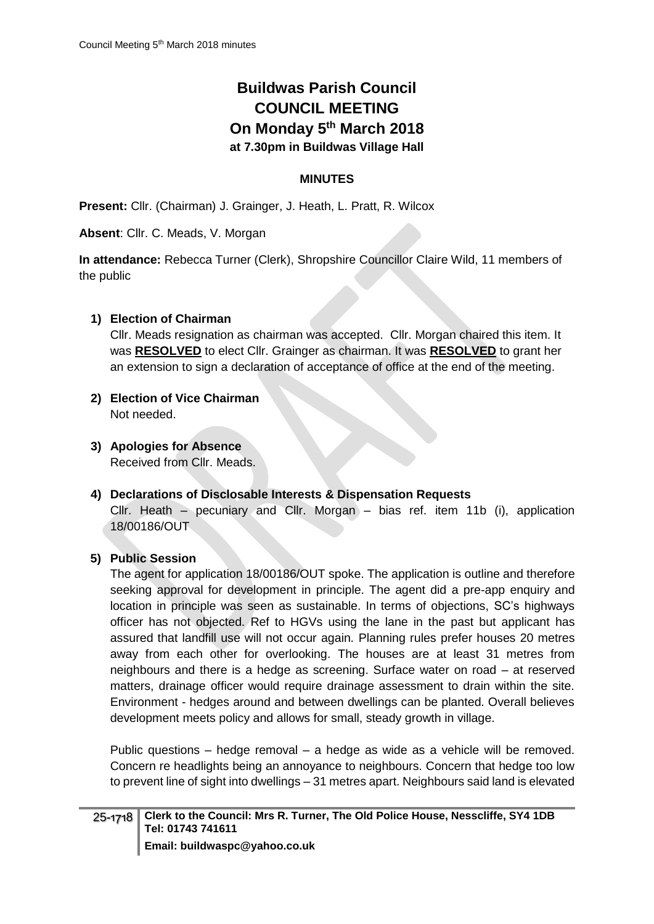# **Buildwas Parish Council COUNCIL MEETING On Monday 5 th March 2018 at 7.30pm in Buildwas Village Hall**

# **MINUTES**

**Present:** Cllr. (Chairman) J. Grainger, J. Heath, L. Pratt, R. Wilcox

**Absent**: Cllr. C. Meads, V. Morgan

**In attendance:** Rebecca Turner (Clerk), Shropshire Councillor Claire Wild, 11 members of the public

# **1) Election of Chairman**

Cllr. Meads resignation as chairman was accepted. Cllr. Morgan chaired this item. It was **RESOLVED** to elect Cllr. Grainger as chairman. It was **RESOLVED** to grant her an extension to sign a declaration of acceptance of office at the end of the meeting.

- **2) Election of Vice Chairman** Not needed.
- **3) Apologies for Absence** Received from Cllr. Meads.
- **4) Declarations of Disclosable Interests & Dispensation Requests** Cllr. Heath – pecuniary and Cllr. Morgan – bias ref. item 11b (i), application 18/00186/OUT

# **5) Public Session**

The agent for application 18/00186/OUT spoke. The application is outline and therefore seeking approval for development in principle. The agent did a pre-app enquiry and location in principle was seen as sustainable. In terms of objections, SC's highways officer has not objected. Ref to HGVs using the lane in the past but applicant has assured that landfill use will not occur again. Planning rules prefer houses 20 metres away from each other for overlooking. The houses are at least 31 metres from neighbours and there is a hedge as screening. Surface water on road – at reserved matters, drainage officer would require drainage assessment to drain within the site. Environment - hedges around and between dwellings can be planted. Overall believes development meets policy and allows for small, steady growth in village.

Public questions – hedge removal – a hedge as wide as a vehicle will be removed. Concern re headlights being an annoyance to neighbours. Concern that hedge too low to prevent line of sight into dwellings – 31 metres apart. Neighbours said land is elevated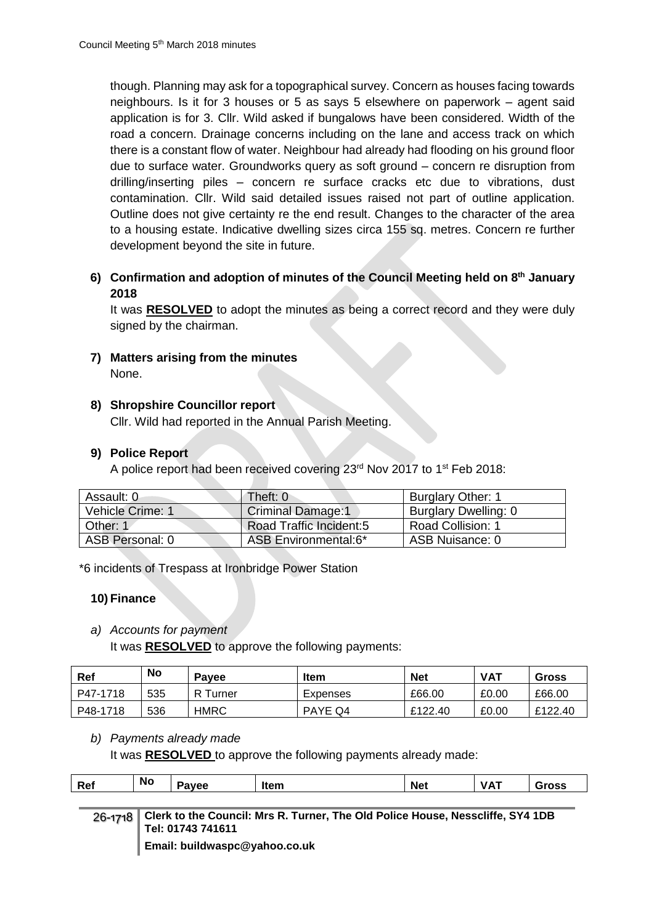though. Planning may ask for a topographical survey. Concern as houses facing towards neighbours. Is it for 3 houses or 5 as says 5 elsewhere on paperwork – agent said application is for 3. Cllr. Wild asked if bungalows have been considered. Width of the road a concern. Drainage concerns including on the lane and access track on which there is a constant flow of water. Neighbour had already had flooding on his ground floor due to surface water. Groundworks query as soft ground – concern re disruption from drilling/inserting piles – concern re surface cracks etc due to vibrations, dust contamination. Cllr. Wild said detailed issues raised not part of outline application. Outline does not give certainty re the end result. Changes to the character of the area to a housing estate. Indicative dwelling sizes circa 155 sq. metres. Concern re further development beyond the site in future.

**6) Confirmation and adoption of minutes of the Council Meeting held on 8 th January 2018**

It was **RESOLVED** to adopt the minutes as being a correct record and they were duly signed by the chairman.

**7) Matters arising from the minutes** None.

# **8) Shropshire Councillor report**

Cllr. Wild had reported in the Annual Parish Meeting.

# **9) Police Report**

A police report had been received covering 23rd Nov 2017 to 1st Feb 2018:

| Assault: 0       | Theft: 0                       | <b>Burglary Other: 1</b> |
|------------------|--------------------------------|--------------------------|
| Vehicle Crime: 1 | <b>Criminal Damage:1</b>       | Burglary Dwelling: 0     |
| Other: 1         | <b>Road Traffic Incident:5</b> | <b>Road Collision: 1</b> |
| ASB Personal: 0  | ASB Environmental:6*           | ASB Nuisance: 0          |

\*6 incidents of Trespass at Ironbridge Power Station

# **10) Finance**

#### *a) Accounts for payment*

It was **RESOLVED** to approve the following payments:

| Ref      | <b>No</b> | <b>Pavee</b> | <b>Item</b> | <b>Net</b> | <b>VAT</b> | Gross   |
|----------|-----------|--------------|-------------|------------|------------|---------|
| P47-1718 | 535       | R<br>Turner  | Expenses    | £66.00     | £0.00      | £66.00  |
| P48-1718 | 536       | <b>HMRC</b>  | PAYE Q4     | £122.40    | £0.00      | £122.40 |

#### *b) Payments already made*

It was **RESOLVED** to approve the following payments already made:

| Ref | <b>No</b> | .<br>ρp<br>v | ltam<br>1101II | Net | <br><b>.</b> |  |
|-----|-----------|--------------|----------------|-----|--------------|--|
|     |           |              |                |     |              |  |

| 26-1718 Clerk to the Council: Mrs R. Turner, The Old Police House, Nesscliffe, SY4 1DB<br><b>↓Tel: 01743 741611</b> |
|---------------------------------------------------------------------------------------------------------------------|
| <b>Email: buildwaspc@yahoo.co.uk</b>                                                                                |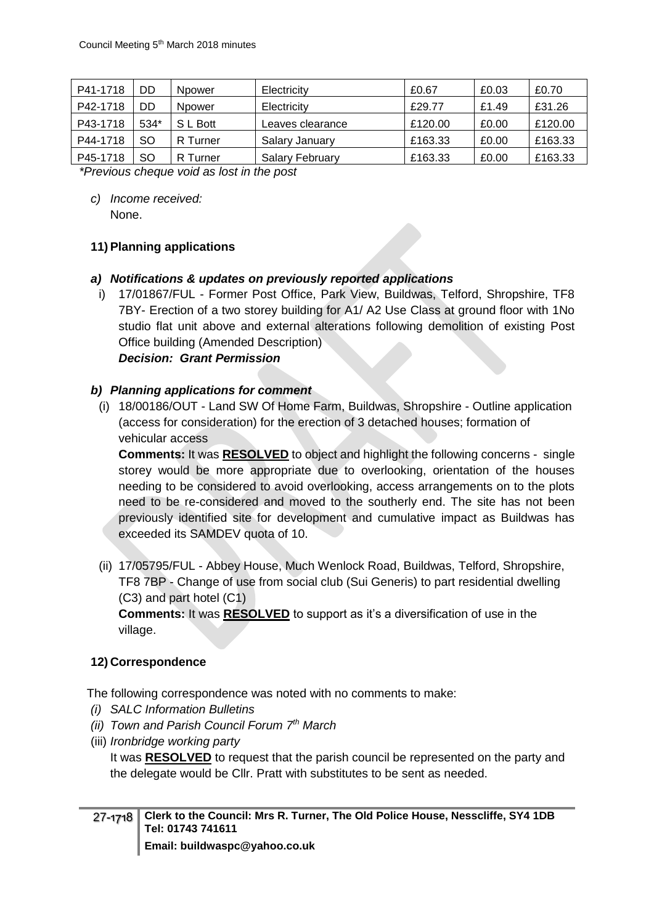| P41-1718 | DD        | <b>Npower</b> | Electricity            | £0.67   | £0.03 | £0.70   |
|----------|-----------|---------------|------------------------|---------|-------|---------|
| P42-1718 | DD        | <b>Npower</b> | Electricity            | £29.77  | £1.49 | £31.26  |
| P43-1718 | 534*      | S L Bott      | Leaves clearance       | £120.00 | £0.00 | £120.00 |
| P44-1718 | SO        | R Turner      | Salary January         | £163.33 | £0.00 | £163.33 |
| P45-1718 | <b>SO</b> | R Turner      | <b>Salary February</b> | £163.33 | £0.00 | £163.33 |

*\*Previous cheque void as lost in the post*

*c) Income received:* None.

# **11)Planning applications**

- *a) Notifications & updates on previously reported applications*
	- i) 17/01867/FUL Former Post Office, Park View, Buildwas, Telford, Shropshire, TF8 7BY- Erection of a two storey building for A1/ A2 Use Class at ground floor with 1No studio flat unit above and external alterations following demolition of existing Post Office building (Amended Description)

#### *Decision: Grant Permission*

#### *b) Planning applications for comment*

(i) 18/00186/OUT - Land SW Of Home Farm, Buildwas, Shropshire - Outline application (access for consideration) for the erection of 3 detached houses; formation of vehicular access

**Comments:** It was **RESOLVED** to object and highlight the following concerns - single storey would be more appropriate due to overlooking, orientation of the houses needing to be considered to avoid overlooking, access arrangements on to the plots need to be re-considered and moved to the southerly end. The site has not been previously identified site for development and cumulative impact as Buildwas has exceeded its SAMDEV quota of 10.

(ii) 17/05795/FUL - Abbey House, Much Wenlock Road, Buildwas, Telford, Shropshire, TF8 7BP - Change of use from social club (Sui Generis) to part residential dwelling (C3) and part hotel (C1)

**Comments:** It was **RESOLVED** to support as it's a diversification of use in the village.

# **12) Correspondence**

The following correspondence was noted with no comments to make:

- *(i) SALC Information Bulletins*
- *(ii) Town and Parish Council Forum 7th March*
- (iii) *Ironbridge working party*

It was **RESOLVED** to request that the parish council be represented on the party and the delegate would be Cllr. Pratt with substitutes to be sent as needed.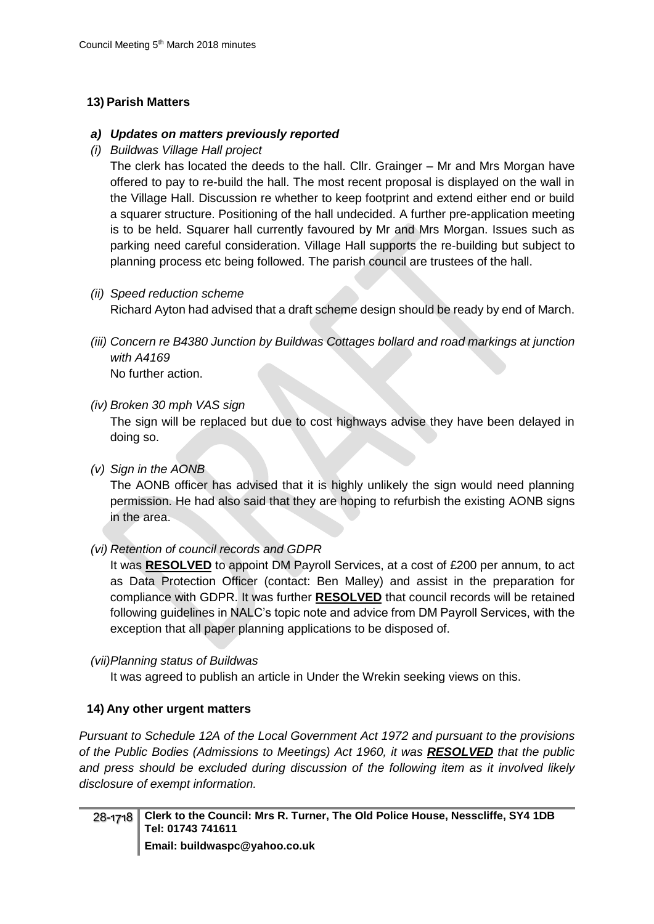# **13) Parish Matters**

# *a) Updates on matters previously reported*

*(i) Buildwas Village Hall project*

The clerk has located the deeds to the hall. Cllr. Grainger – Mr and Mrs Morgan have offered to pay to re-build the hall. The most recent proposal is displayed on the wall in the Village Hall. Discussion re whether to keep footprint and extend either end or build a squarer structure. Positioning of the hall undecided. A further pre-application meeting is to be held. Squarer hall currently favoured by Mr and Mrs Morgan. Issues such as parking need careful consideration. Village Hall supports the re-building but subject to planning process etc being followed. The parish council are trustees of the hall.

*(ii) Speed reduction scheme*

Richard Ayton had advised that a draft scheme design should be ready by end of March.

*(iii) Concern re B4380 Junction by Buildwas Cottages bollard and road markings at junction with A4169* No further action.

# *(iv) Broken 30 mph VAS sign*

The sign will be replaced but due to cost highways advise they have been delayed in doing so.

*(v) Sign in the AONB*

The AONB officer has advised that it is highly unlikely the sign would need planning permission. He had also said that they are hoping to refurbish the existing AONB signs in the area.

*(vi) Retention of council records and GDPR*

It was **RESOLVED** to appoint DM Payroll Services, at a cost of £200 per annum, to act as Data Protection Officer (contact: Ben Malley) and assist in the preparation for compliance with GDPR. It was further **RESOLVED** that council records will be retained following guidelines in NALC's topic note and advice from DM Payroll Services, with the exception that all paper planning applications to be disposed of.

# *(vii)Planning status of Buildwas*

It was agreed to publish an article in Under the Wrekin seeking views on this.

# **14) Any other urgent matters**

*Pursuant to Schedule 12A of the Local Government Act 1972 and pursuant to the provisions of the Public Bodies (Admissions to Meetings) Act 1960, it was RESOLVED that the public and press should be excluded during discussion of the following item as it involved likely disclosure of exempt information.*